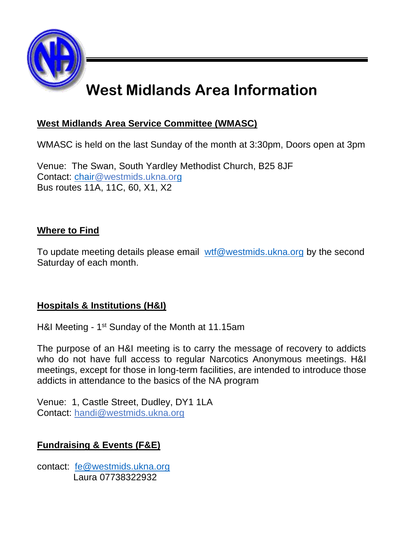

## **West Midlands Area Information**

### **West Midlands Area Service Committee (WMASC)**

WMASC is held on the last Sunday of the month at 3:30pm, Doors open at 3pm

Venue: The Swan, South Yardley Methodist Church, B25 8JF Contact: [chair@westmids.ukna.org](mailto:chair@westmids.ukna.org) Bus routes 11A, 11C, 60, X1, X2

### **Where to Find**

To update meeting details please email [wtf@westmids.ukna.org](mailto:wtf@westmids.ukna.org) by the second Saturday of each month.

### **Hospitals & Institutions (H&I)**

H&I Meeting - 1<sup>st</sup> Sunday of the Month at 11.15am

The purpose of an H&I meeting is to carry the message of recovery to addicts who do not have full access to regular Narcotics Anonymous meetings. H&I meetings, except for those in long-term facilities, are intended to introduce those addicts in attendance to the basics of the NA program

Venue: 1, Castle Street, Dudley, DY1 1LA Contact: [handi@westmids.ukna.org](mailto:handi@westmids.ukna.org)

### **Fundraising & Events (F&E)**

contact: [fe@westmids.ukna.org](mailto:fe@westmids.ukna.org) Laura 07738322932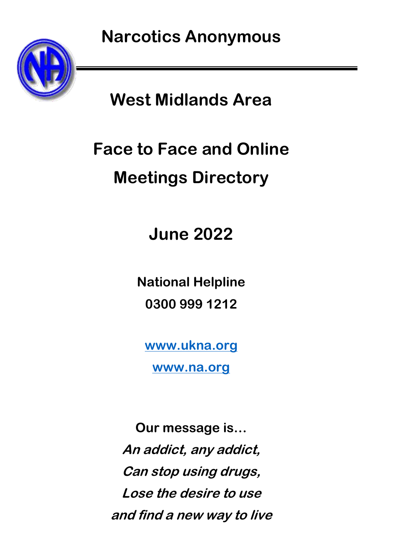

## **West Midlands Area**

# **Face to Face and Online Meetings Directory**

**June 2022**

**National Helpline 0300 999 1212**

**[www.ukna.org](http://www.ukna.org/)**

**[www.na.org](http://www.na.org/)**

**Our message is… An addict, any addict, Can stop using drugs, Lose the desire to use and find a new way to live**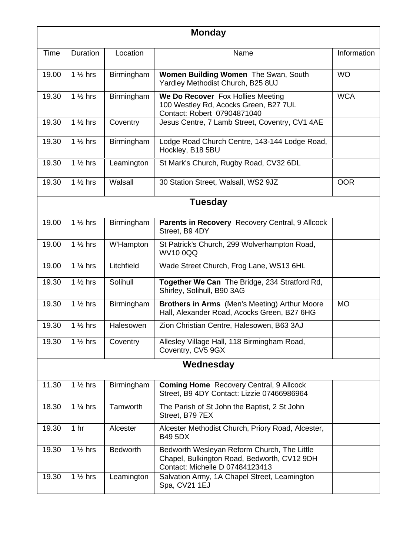| <b>Monday</b> |                    |                 |                                                                                                                               |             |  |  |
|---------------|--------------------|-----------------|-------------------------------------------------------------------------------------------------------------------------------|-------------|--|--|
| Time          | Duration           | Location        | Name                                                                                                                          | Information |  |  |
| 19.00         | $1\frac{1}{2}$ hrs | Birmingham      | Women Building Women The Swan, South<br>Yardley Methodist Church, B25 8UJ                                                     | <b>WO</b>   |  |  |
| 19.30         | $1\frac{1}{2}$ hrs | Birmingham      | We Do Recover Fox Hollies Meeting<br>100 Westley Rd, Acocks Green, B27 7UL<br>Contact: Robert 07904871040                     | <b>WCA</b>  |  |  |
| 19.30         | $1\%$ hrs          | Coventry        | Jesus Centre, 7 Lamb Street, Coventry, CV1 4AE                                                                                |             |  |  |
| 19.30         | $1\%$ hrs          | Birmingham      | Lodge Road Church Centre, 143-144 Lodge Road,<br>Hockley, B18 5BU                                                             |             |  |  |
| 19.30         | 1 $%$ hrs          | Leamington      | St Mark's Church, Rugby Road, CV32 6DL                                                                                        |             |  |  |
| 19.30         | 1 $%$ hrs          | Walsall         | 30 Station Street, Walsall, WS2 9JZ                                                                                           | <b>OOR</b>  |  |  |
|               |                    |                 | <b>Tuesday</b>                                                                                                                |             |  |  |
| 19.00         | $1\%$ hrs          | Birmingham      | Parents in Recovery Recovery Central, 9 Allcock<br>Street. B9 4DY                                                             |             |  |  |
| 19.00         | $1\%$ hrs          | W'Hampton       | St Patrick's Church, 299 Wolverhampton Road,<br>WV1000Q                                                                       |             |  |  |
| 19.00         | $1\frac{1}{4}$ hrs | Litchfield      | Wade Street Church, Frog Lane, WS13 6HL                                                                                       |             |  |  |
| 19.30         | $1\frac{1}{2}$ hrs | Solihull        | Together We Can The Bridge, 234 Stratford Rd,<br>Shirley, Solihull, B90 3AG                                                   |             |  |  |
| 19.30         | $1\%$ hrs          | Birmingham      | Brothers in Arms (Men's Meeting) Arthur Moore<br>Hall, Alexander Road, Acocks Green, B27 6HG                                  | <b>MO</b>   |  |  |
| 19.30         | $1\frac{1}{2}$ hrs | Halesowen       | Zion Christian Centre, Halesowen, B63 3AJ                                                                                     |             |  |  |
| 19.30         | $1\%$ hrs          | Coventry        | Allesley Village Hall, 118 Birmingham Road,<br>Coventry, CV5 9GX                                                              |             |  |  |
| Wednesday     |                    |                 |                                                                                                                               |             |  |  |
| 11.30         | $1\frac{1}{2}$ hrs | Birmingham      | Coming Home Recovery Central, 9 Allcock<br>Street, B9 4DY Contact: Lizzie 07466986964                                         |             |  |  |
| 18.30         | $1\%$ hrs          | Tamworth        | The Parish of St John the Baptist, 2 St John<br>Street. B79 7EX                                                               |             |  |  |
| 19.30         | 1 <sub>hr</sub>    | Alcester        | Alcester Methodist Church, Priory Road, Alcester,<br><b>B49 5DX</b>                                                           |             |  |  |
| 19.30         | $1\%$ hrs          | <b>Bedworth</b> | Bedworth Wesleyan Reform Church, The Little<br>Chapel, Bulkington Road, Bedworth, CV12 9DH<br>Contact: Michelle D 07484123413 |             |  |  |
| 19.30         | $1\frac{1}{2}$ hrs | Leamington      | Salvation Army, 1A Chapel Street, Leamington<br>Spa, CV21 1EJ                                                                 |             |  |  |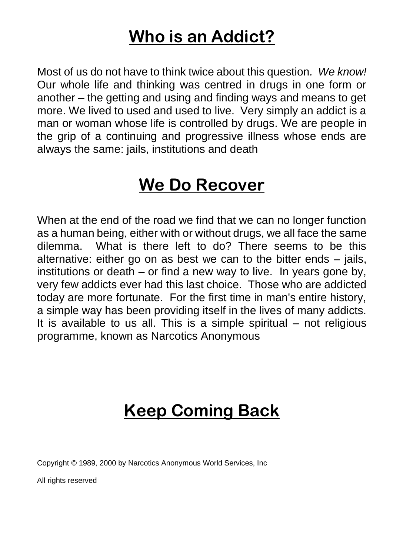## **Who is an Addict?**

Most of us do not have to think twice about this question*. We know!*  Our whole life and thinking was centred in drugs in one form or another – the getting and using and finding ways and means to get more. We lived to used and used to live. Very simply an addict is a man or woman whose life is controlled by drugs. We are people in the grip of a continuing and progressive illness whose ends are always the same: jails, institutions and death

## **We Do Recover**

When at the end of the road we find that we can no longer function as a human being, either with or without drugs, we all face the same dilemma. What is there left to do? There seems to be this alternative: either go on as best we can to the bitter ends – jails, institutions or death – or find a new way to live. In years gone by, very few addicts ever had this last choice. Those who are addicted today are more fortunate. For the first time in man's entire history, a simple way has been providing itself in the lives of many addicts. It is available to us all. This is a simple spiritual – not religious programme, known as Narcotics Anonymous

## **Keep Coming Back**

Copyright © 1989, 2000 by Narcotics Anonymous World Services, Inc

All rights reserved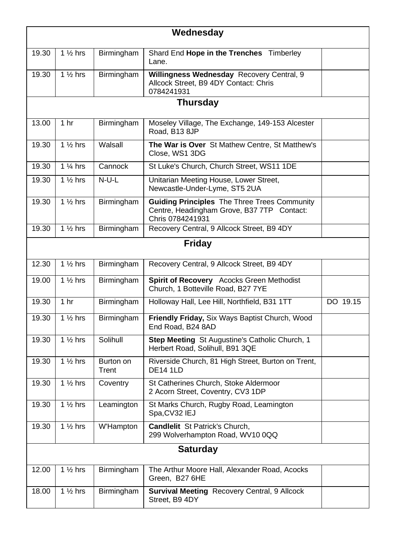| Wednesday       |                     |                    |                                                                                                                       |                       |  |
|-----------------|---------------------|--------------------|-----------------------------------------------------------------------------------------------------------------------|-----------------------|--|
| 19.30           | $1\%$ hrs           | Birmingham         | Shard End Hope in the Trenches Timberley<br>Lane.                                                                     |                       |  |
| 19.30           | $1\frac{1}{2}$ hrs  | Birmingham         | Willingness Wednesday Recovery Central, 9<br>Allcock Street, B9 4DY Contact: Chris<br>0784241931                      |                       |  |
|                 |                     |                    | <b>Thursday</b>                                                                                                       |                       |  |
| 13.00           | 1 <sub>hr</sub>     | Birmingham         | Moseley Village, The Exchange, 149-153 Alcester<br>Road, B13 8JP                                                      |                       |  |
| 19.30           | $1\%$ hrs           | Walsall            | The War is Over St Mathew Centre, St Matthew's<br>Close, WS1 3DG                                                      |                       |  |
| 19.30           | $1\frac{1}{4}$ hrs  | Cannock            | St Luke's Church, Church Street, WS11 1DE                                                                             |                       |  |
| 19.30           | $1\%$ hrs           | $N-U-L$            | Unitarian Meeting House, Lower Street,<br>Newcastle-Under-Lyme, ST5 2UA                                               |                       |  |
| 19.30           | 1 $\frac{1}{2}$ hrs | Birmingham         | <b>Guiding Principles</b> The Three Trees Community<br>Centre, Headingham Grove, B37 7TP Contact:<br>Chris 0784241931 |                       |  |
| 19.30           | $1\%$ hrs           | Birmingham         | Recovery Central, 9 Allcock Street, B9 4DY                                                                            |                       |  |
| Friday          |                     |                    |                                                                                                                       |                       |  |
| 12.30           | $1\frac{1}{2}$ hrs  | Birmingham         | Recovery Central, 9 Allcock Street, B9 4DY                                                                            |                       |  |
| 19.00           | $1\%$ hrs           | Birmingham         | Spirit of Recovery Acocks Green Methodist<br>Church, 1 Botteville Road, B27 7YE                                       |                       |  |
| 19.30           | 1 <sub>hr</sub>     | <b>Birmingham</b>  | Holloway Hall, Lee Hill, Northfield, B31 1TT                                                                          | $\overline{DO}$ 19.15 |  |
| 19.30           | $1\%$ hrs           | <b>Birmingham</b>  | Friendly Friday, Six Ways Baptist Church, Wood<br>End Road, B24 8AD                                                   |                       |  |
| 19.30           | $1\%$ hrs           | Solihull           | Step Meeting St Augustine's Catholic Church, 1<br>Herbert Road, Solihull, B91 3QE                                     |                       |  |
| 19.30           | $1\frac{1}{2}$ hrs  | Burton on<br>Trent | Riverside Church, 81 High Street, Burton on Trent,<br><b>DE14 1LD</b>                                                 |                       |  |
| 19.30           | $1\frac{1}{2}$ hrs  | Coventry           | St Catherines Church, Stoke Aldermoor<br>2 Acorn Street, Coventry, CV3 1DP                                            |                       |  |
| 19.30           | $1\%$ hrs           | Leamington         | St Marks Church, Rugby Road, Leamington<br>Spa.CV32 IEJ                                                               |                       |  |
| 19.30           | $1\%$ hrs           | W'Hampton          | <b>Candlelit</b> St Patrick's Church.<br>299 Wolverhampton Road, WV10 0QQ                                             |                       |  |
| <b>Saturday</b> |                     |                    |                                                                                                                       |                       |  |
| 12.00           | $1\frac{1}{2}$ hrs  | <b>Birmingham</b>  | The Arthur Moore Hall, Alexander Road, Acocks<br>Green, B27 6HE                                                       |                       |  |
| 18.00           | $1\frac{1}{2}$ hrs  | Birmingham         | Survival Meeting Recovery Central, 9 Allcock<br>Street, B9 4DY                                                        |                       |  |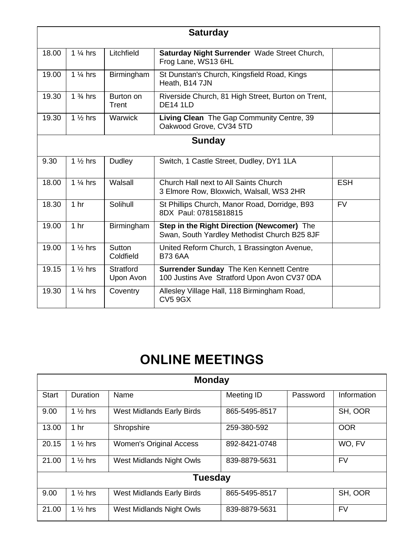| <b>Saturday</b> |                               |                        |                                                                                            |            |  |
|-----------------|-------------------------------|------------------------|--------------------------------------------------------------------------------------------|------------|--|
| 18.00           | $1\%$ hrs                     | Litchfield             | Saturday Night Surrender Wade Street Church,<br>Frog Lane, WS13 6HL                        |            |  |
| 19.00           | $1\%$ hrs                     | Birmingham             | St Dunstan's Church, Kingsfield Road, Kings<br>Heath, B14 7JN                              |            |  |
| 19.30           | $1\frac{3}{4}$ hrs            | Burton on<br>Trent     | Riverside Church, 81 High Street, Burton on Trent,<br><b>DF14 1ID</b>                      |            |  |
| 19.30           | $1\%$ hrs                     | Warwick                | Living Clean The Gap Community Centre, 39<br>Oakwood Grove, CV34 5TD                       |            |  |
| Sunday          |                               |                        |                                                                                            |            |  |
| 9.30            | $\overline{1}\frac{1}{2}$ hrs | Dudley                 | Switch, 1 Castle Street, Dudley, DY1 1LA                                                   |            |  |
| 18.00           | $1\%$ hrs                     | Walsall                | Church Hall next to All Saints Church<br>3 Elmore Row, Bloxwich, Walsall, WS3 2HR          | <b>FSH</b> |  |
| 18.30           | 1 <sub>hr</sub>               | Solihull               | St Phillips Church, Manor Road, Dorridge, B93<br>8DX Paul: 07815818815                     | <b>FV</b>  |  |
| 19.00           | 1 <sub>hr</sub>               | Birmingham             | Step in the Right Direction (Newcomer) The<br>Swan, South Yardley Methodist Church B25 8JF |            |  |
| 19.00           | $1\frac{1}{2}$ hrs            | Sutton<br>Coldfield    | United Reform Church, 1 Brassington Avenue,<br><b>B73 6AA</b>                              |            |  |
| 19.15           | $1\%$ hrs                     | Stratford<br>Upon Avon | Surrender Sunday The Ken Kennett Centre<br>100 Justins Ave Stratford Upon Avon CV37 0DA    |            |  |
| 19.30           | $1\%$ hrs                     | Coventry               | Allesley Village Hall, 118 Birmingham Road,<br><b>CV5 9GX</b>                              |            |  |

### **ONLINE MEETINGS**

| <b>Monday</b>  |                     |                                |               |             |            |  |  |
|----------------|---------------------|--------------------------------|---------------|-------------|------------|--|--|
| Start          | Duration            | Meeting ID<br>Password<br>Name |               | Information |            |  |  |
| 9.00           | 1 $\frac{1}{2}$ hrs | West Midlands Early Birds      | 865-5495-8517 |             | SH, OOR    |  |  |
| 13.00          | 1 <sub>hr</sub>     | Shropshire                     | 259-380-592   |             | <b>OOR</b> |  |  |
| 20.15          | $1\%$ hrs           | <b>Women's Original Access</b> | 892-8421-0748 |             | WO. FV     |  |  |
| 21.00          | $1\%$ hrs           | West Midlands Night Owls       | 839-8879-5631 |             | <b>FV</b>  |  |  |
| <b>Tuesday</b> |                     |                                |               |             |            |  |  |
| 9.00           | 1 $\frac{1}{2}$ hrs | West Midlands Early Birds      | 865-5495-8517 |             | SH, OOR    |  |  |
| 21.00          | 1 $\frac{1}{2}$ hrs | West Midlands Night Owls       | 839-8879-5631 |             | <b>FV</b>  |  |  |